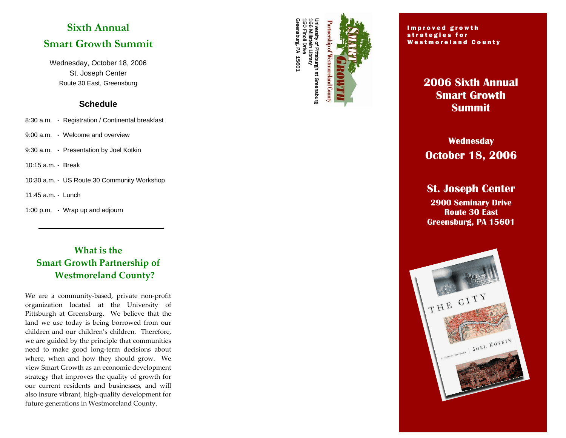# **Sixth Annual Smart Growth Summit**

Wednesday, October 18, 2006 St. Joseph Center Route 30 East, Greensburg

#### **Schedule**

- 8:30 a.m. Registration / Continental breakfast
- 9:00 a.m. Welcome and overview
- 9:30 a.m. Presentation by Joel Kotkin
- 10:15 a.m. Break
- 10:30 a.m. US Route 30 Community Workshop
- 11:45 a.m. Lunch
- 1:00 p.m. Wrap up and adjourn

**What is the Smart Growth Partnership of Westmoreland County?** 

We are a community-based, private non-profit organization located at the University of Pittsburgh at Greensburg. We believe that the land we use today is being borrowed from our children and our children's children. Therefore, we are guided by the principle that communities need to make good long-term decisions about where, when and how they should grow. We view Smart Growth as an economic development strategy that improves the quality of growth for our current residents and businesses, and will also insure vibrant, high-quality development for future generations in Westmoreland County.



#### Improved growth strategies for Westmoreland County

# **2006 Sixth Annual Smart Growth Summit**

# **Wednesday October 18, 2006**

# **St. Joseph Center**

**2900 Seminary Drive Route 30 East Greensburg, PA 15601**